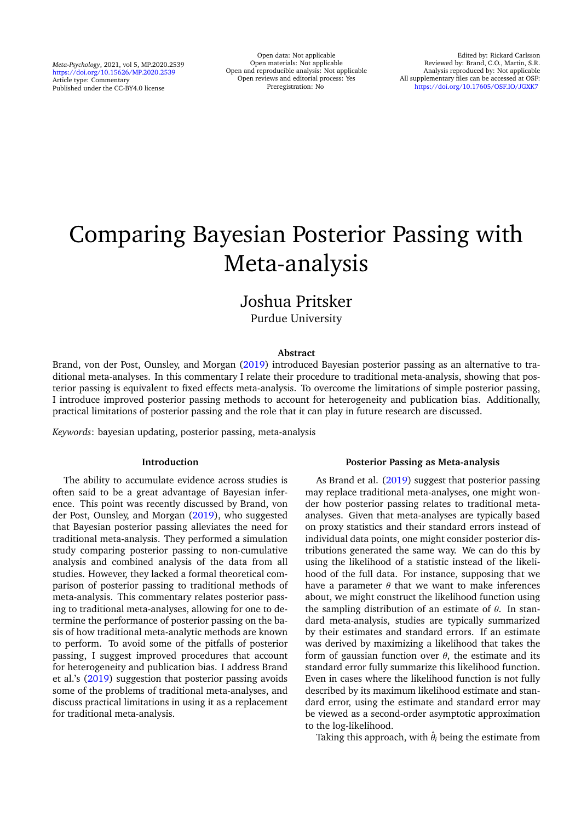*Meta-Psychology*, 2021, vol 5, MP.2020.2539 <https://doi.org/10.15626/MP.2020.2539> Article type: Commentary Published under the CC-BY4.0 license

Open data: Not applicable Open materials: Not applicable Open and reproducible analysis: Not applicable Open reviews and editorial process: Yes Preregistration: No

# Comparing Bayesian Posterior Passing with Meta-analysis

# Joshua Pritsker

Purdue University

#### **Abstract**

Brand, von der Post, Ounsley, and Morgan [\(2019\)](#page-4-0) introduced Bayesian posterior passing as an alternative to traditional meta-analyses. In this commentary I relate their procedure to traditional meta-analysis, showing that posterior passing is equivalent to fixed effects meta-analysis. To overcome the limitations of simple posterior passing, I introduce improved posterior passing methods to account for heterogeneity and publication bias. Additionally, practical limitations of posterior passing and the role that it can play in future research are discussed.

*Keywords*: bayesian updating, posterior passing, meta-analysis

#### **Introduction**

The ability to accumulate evidence across studies is often said to be a great advantage of Bayesian inference. This point was recently discussed by Brand, von der Post, Ounsley, and Morgan [\(2019\)](#page-4-0), who suggested that Bayesian posterior passing alleviates the need for traditional meta-analysis. They performed a simulation study comparing posterior passing to non-cumulative analysis and combined analysis of the data from all studies. However, they lacked a formal theoretical comparison of posterior passing to traditional methods of meta-analysis. This commentary relates posterior passing to traditional meta-analyses, allowing for one to determine the performance of posterior passing on the basis of how traditional meta-analytic methods are known to perform. To avoid some of the pitfalls of posterior passing, I suggest improved procedures that account for heterogeneity and publication bias. I address Brand et al.'s [\(2019\)](#page-4-0) suggestion that posterior passing avoids some of the problems of traditional meta-analyses, and discuss practical limitations in using it as a replacement for traditional meta-analysis.

#### **Posterior Passing as Meta-analysis**

As Brand et al. [\(2019\)](#page-4-0) suggest that posterior passing may replace traditional meta-analyses, one might wonder how posterior passing relates to traditional metaanalyses. Given that meta-analyses are typically based on proxy statistics and their standard errors instead of individual data points, one might consider posterior distributions generated the same way. We can do this by using the likelihood of a statistic instead of the likelihood of the full data. For instance, supposing that we have a parameter  $\theta$  that we want to make inferences about, we might construct the likelihood function using the sampling distribution of an estimate of  $\theta$ . In standard meta-analysis, studies are typically summarized by their estimates and standard errors. If an estimate was derived by maximizing a likelihood that takes the form of gaussian function over  $\theta$ , the estimate and its standard error fully summarize this likelihood function. Even in cases where the likelihood function is not fully described by its maximum likelihood estimate and standard error, using the estimate and standard error may be viewed as a second-order asymptotic approximation to the log-likelihood.

Taking this approach, with  $\hat{\theta}_i$  being the estimate from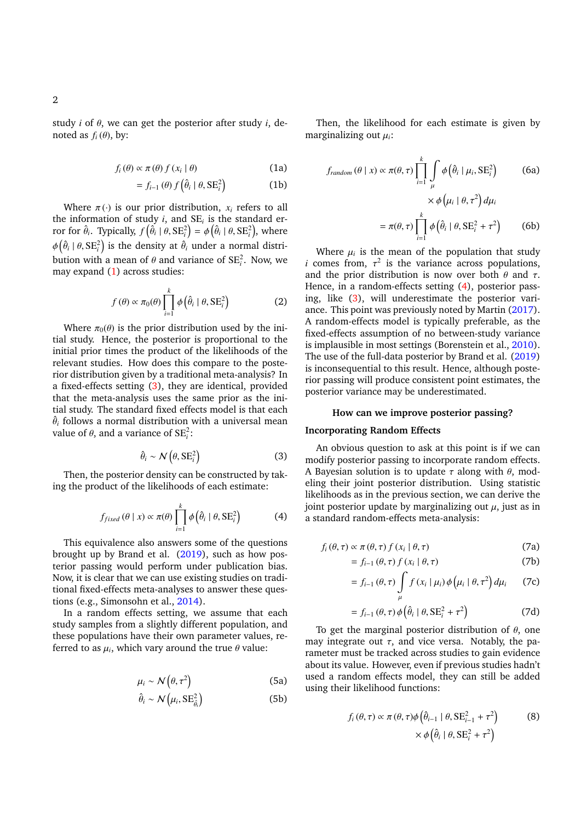<span id="page-1-0"></span>study *i* of  $\theta$ , we can get the posterior after study *i*, denoted as  $f_i(\theta)$ , by:

$$
f_i(\theta) \propto \pi(\theta) f(x_i | \theta)
$$
 (1a)

$$
= f_{i-1}(\theta) f(\hat{\theta}_i | \theta, \text{SE}_i^2)
$$
 (1b)

Where  $\pi(\cdot)$  is our prior distribution,  $x_i$  refers to all the information of study  $i$ , and  $SE_i$  is the standard error for  $\hat{\theta}_i$ . Typically,  $f\left(\hat{\theta}_i \mid \theta, \text{SE}_i^2\right) = \phi\left(\hat{\theta}_i \mid \theta, \text{SE}_i^2\right)$ , where bution with a mean of  $\theta$  and variance of  $SE_i^2$ . Now, we  $(\hat{\theta}_i | \theta, \text{SE}_i^2)$  is the density at  $\hat{\theta}_i$  under a normal distri-<br>*i*<sup>i</sup> union with a moon of 0 and province of SF<sup>2</sup>. Now we may expand [\(1\)](#page-1-0) across studies:

$$
f(\theta) \propto \pi_0(\theta) \prod_{i=1}^k \phi\left(\hat{\theta}_i \mid \theta, \text{SE}_i^2\right)
$$
 (2)

Where  $\pi_0(\theta)$  is the prior distribution used by the initial study. Hence, the posterior is proportional to the initial prior times the product of the likelihoods of the relevant studies. How does this compare to the posterior distribution given by a traditional meta-analysis? In a fixed-effects setting [\(3\)](#page-1-1), they are identical, provided that the meta-analysis uses the same prior as the initial study. The standard fixed effects model is that each  $\hat{\theta}_i$  follows a normal distribution with a universal mean<br>value of  $\theta$  and a variance of  $SP^2$ value of  $\theta$ , and a variance of  $SE_i^2$ :

<span id="page-1-1"></span>
$$
\hat{\theta}_i \sim \mathcal{N}\left(\theta, \text{SE}_i^2\right) \tag{3}
$$

Then, the posterior density can be constructed by taking the product of the likelihoods of each estimate:

<span id="page-1-2"></span>
$$
f_{fixed}(\theta \mid x) \propto \pi(\theta) \prod_{i=1}^{k} \phi\left(\hat{\theta}_{i} \mid \theta, \text{SE}_{i}^{2}\right)
$$
 (4)

This equivalence also answers some of the questions brought up by Brand et al. [\(2019\)](#page-4-0), such as how posterior passing would perform under publication bias. Now, it is clear that we can use existing studies on traditional fixed-effects meta-analyses to answer these questions (e.g., Simonsohn et al., [2014\)](#page-4-1).

In a random effects setting, we assume that each study samples from a slightly different population, and these populations have their own parameter values, referred to as  $\mu_i$ , which vary around the true  $\theta$  value:

$$
\mu_i \sim \mathcal{N}\left(\theta, \tau^2\right) \tag{5a}
$$

$$
\hat{\theta}_i \sim \mathcal{N}\left(\mu_i, \text{SE}_{\hat{\theta}_i}^2\right) \tag{5b}
$$

Then, the likelihood for each estimate is given by marginalizing out µ*<sup>i</sup>*:

$$
f_{random}(\theta \mid x) \propto \pi(\theta, \tau) \prod_{i=1}^{k} \int_{\mu} \phi\left(\hat{\theta}_{i} \mid \mu_{i}, \text{SE}_{i}^{2}\right) \qquad (6a)
$$

$$
\times \phi\left(\mu_{i} \mid \theta, \tau^{2}\right) d\mu_{i}
$$

$$
= \pi(\theta, \tau) \prod_{i=1}^{k} \phi\left(\hat{\theta}_i \mid \theta, \text{SE}_i^2 + \tau^2\right)
$$
 (6b)

Where  $\mu_i$  is the mean of the population that study<br>romes from  $\tau^2$  is the variance across populations *i* comes from,  $\tau^2$  is the variance across populations, and the prior distribution is now over both  $\theta$  and  $\tau$ and the prior distribution is now over both  $\theta$  and  $\tau$ . Hence, in a random-effects setting [\(4\)](#page-1-2), posterior passing, like [\(3\)](#page-1-1), will underestimate the posterior variance. This point was previously noted by Martin [\(2017\)](#page-4-2). A random-effects model is typically preferable, as the fixed-effects assumption of no between-study variance is implausible in most settings (Borenstein et al., [2010\)](#page-4-3). The use of the full-data posterior by Brand et al. [\(2019\)](#page-4-0) is inconsequential to this result. Hence, although posterior passing will produce consistent point estimates, the posterior variance may be underestimated.

#### **How can we improve posterior passing?**

#### **Incorporating Random Effects**

An obvious question to ask at this point is if we can modify posterior passing to incorporate random effects. A Bayesian solution is to update  $\tau$  along with  $\theta$ , modeling their joint posterior distribution. Using statistic likelihoods as in the previous section, we can derive the joint posterior update by marginalizing out  $\mu$ , just as in a standard random-effects meta-analysis:

$$
f_i(\theta, \tau) \propto \pi(\theta, \tau) f(x_i | \theta, \tau)
$$
\n(7a)

$$
= f_{i-1}(\theta, \tau) f(x_i | \theta, \tau) \tag{7b}
$$

$$
= f_{i-1}(\theta, \tau) \int\limits_{\mu} f(x_i \mid \mu_i) \phi(\mu_i \mid \theta, \tau^2) d\mu_i \qquad (7c)
$$

$$
= f_{i-1}(\theta, \tau) \phi\left(\hat{\theta}_i \mid \theta, \text{SE}_i^2 + \tau^2\right)
$$
 (7d)

To get the marginal posterior distribution of  $\theta$ , one may integrate out  $\tau$ , and vice versa. Notably, the parameter must be tracked across studies to gain evidence about its value. However, even if previous studies hadn't used a random effects model, they can still be added using their likelihood functions:

$$
f_i(\theta, \tau) \propto \pi(\theta, \tau) \phi\left(\hat{\theta}_{i-1} | \theta, \text{SE}_{i-1}^2 + \tau^2\right) \qquad (8)
$$

$$
\times \phi\left(\hat{\theta}_i | \theta, \text{SE}_i^2 + \tau^2\right)
$$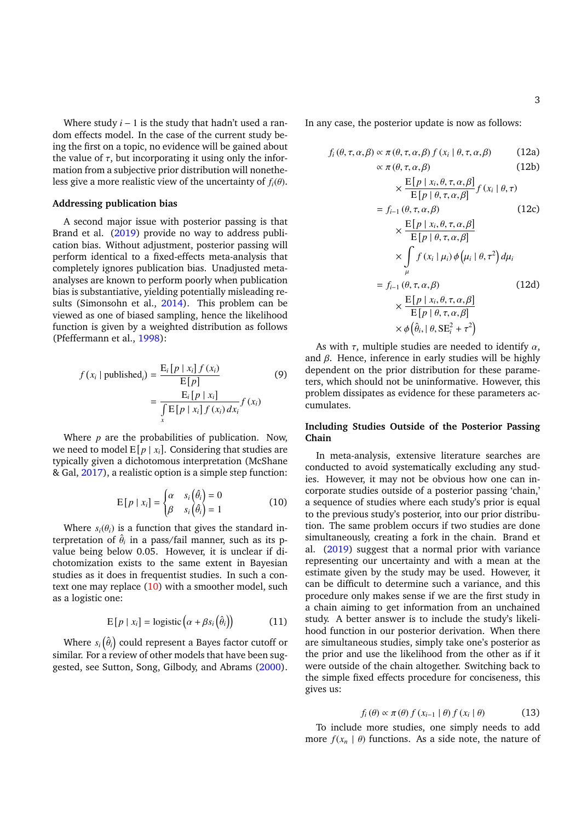Where study *i* − 1 is the study that hadn't used a random effects model. In the case of the current study being the first on a topic, no evidence will be gained about the value of  $\tau$ , but incorporating it using only the information from a subjective prior distribution will nonetheless give a more realistic view of the uncertainty of  $f_i(\theta)$ .

# **Addressing publication bias**

A second major issue with posterior passing is that Brand et al. [\(2019\)](#page-4-0) provide no way to address publication bias. Without adjustment, posterior passing will perform identical to a fixed-effects meta-analysis that completely ignores publication bias. Unadjusted metaanalyses are known to perform poorly when publication bias is substantiative, yielding potentially misleading results (Simonsohn et al., [2014\)](#page-4-1). This problem can be viewed as one of biased sampling, hence the likelihood function is given by a weighted distribution as follows (Pfeffermann et al., [1998\)](#page-4-4):

$$
f(x_i \mid \text{published}_i) = \frac{\mathbf{E}_i \left[ p \mid x_i \right] f(x_i)}{\mathbf{E}\left[ p \right]} \tag{9}
$$
\n
$$
= \frac{\mathbf{E}_i \left[ p \mid x_i \right]}{\int \limits_x \mathbf{E}\left[ p \mid x_i \right] f(x_i) dx_i} f(x_i)
$$

Where *p* are the probabilities of publication. Now, we need to model E [ $p \mid x_i$ ]. Considering that studies are typically given a dichotomous interpretation (McShane & Gal, [2017\)](#page-4-5), a realistic option is a simple step function:

<span id="page-2-0"></span>
$$
E[p \mid x_i] = \begin{cases} \alpha & s_i(\hat{\theta}_i) = 0\\ \beta & s_i(\hat{\theta}_i) = 1 \end{cases}
$$
 (10)

Where  $s_i(\theta_i)$  is a function that gives the standard interpretation of  $\hat{\theta}_i$  in a pass/fail manner, such as its p-<br>value being below 0.05. However, it is unclear if divalue being below 0.05. However, it is unclear if dichotomization exists to the same extent in Bayesian studies as it does in frequentist studies. In such a context one may replace [\(10\)](#page-2-0) with a smoother model, such as a logistic one:

$$
E[p \mid x_i] = logistic\left(\alpha + \beta s_i\left(\hat{\theta}_i\right)\right) \tag{11}
$$

Where  $s_i(\hat{\theta}_i)$  could represent a Bayes factor cutoff or principle  $\hat{\theta}_i$  is a review of other models that have been sugsimilar. For a review of other models that have been suggested, see Sutton, Song, Gilbody, and Abrams [\(2000\)](#page-4-6). In any case, the posterior update is now as follows:

$$
f_i(\theta, \tau, \alpha, \beta) \propto \pi(\theta, \tau, \alpha, \beta) f(x_i | \theta, \tau, \alpha, \beta)
$$
 (12a)  

$$
\propto \pi(\theta, \tau, \alpha, \beta)
$$
 (12b)

$$
\times \frac{\text{E}[p \mid x_i, \theta, \tau, \alpha, \beta]}{\text{E}[p \mid \theta, \tau, \alpha, \beta]} f(x_i \mid \theta, \tau)
$$
\n
$$
= f_{i-1}(\theta, \tau, \alpha, \beta) \qquad (12c)
$$
\n
$$
\times \frac{\text{E}[p \mid x_i, \theta, \tau, \alpha, \beta]}{\text{E}[p \mid \theta, \tau, \alpha, \beta]} \times \int_{\mu} f(x_i \mid \mu_i) \phi(\mu_i \mid \theta, \tau^2) d\mu_i
$$
\n
$$
= f_{i-1}(\theta, \tau, \alpha, \beta) \qquad (12d)
$$
\n
$$
\times \frac{\text{E}[p \mid x_i, \theta, \tau, \alpha, \beta]}{\text{E}[p \mid \theta, \tau, \alpha, \beta]} \times \phi(\hat{\theta}_i, \mid \theta, \text{SE}_i^2 + \tau^2)
$$

As with  $\tau$ , multiple studies are needed to identify  $\alpha$ , and  $\beta$ . Hence, inference in early studies will be highly dependent on the prior distribution for these parameters, which should not be uninformative. However, this problem dissipates as evidence for these parameters accumulates.

# **Including Studies Outside of the Posterior Passing Chain**

In meta-analysis, extensive literature searches are conducted to avoid systematically excluding any studies. However, it may not be obvious how one can incorporate studies outside of a posterior passing 'chain,' a sequence of studies where each study's prior is equal to the previous study's posterior, into our prior distribution. The same problem occurs if two studies are done simultaneously, creating a fork in the chain. Brand et al. [\(2019\)](#page-4-0) suggest that a normal prior with variance representing our uncertainty and with a mean at the estimate given by the study may be used. However, it can be difficult to determine such a variance, and this procedure only makes sense if we are the first study in a chain aiming to get information from an unchained study. A better answer is to include the study's likelihood function in our posterior derivation. When there are simultaneous studies, simply take one's posterior as the prior and use the likelihood from the other as if it were outside of the chain altogether. Switching back to the simple fixed effects procedure for conciseness, this gives us:

$$
f_i(\theta) \propto \pi(\theta) f(x_{i-1} | \theta) f(x_i | \theta)
$$
 (13)

*f<sub>i</sub>* ( $\theta$ )  $\propto \pi(\theta) f(x_{i-1} | \theta) f(x_i | \theta)$  (13)<br>To include more studies, one simply needs to add more  $f(x_n | \theta)$  functions. As a side note, the nature of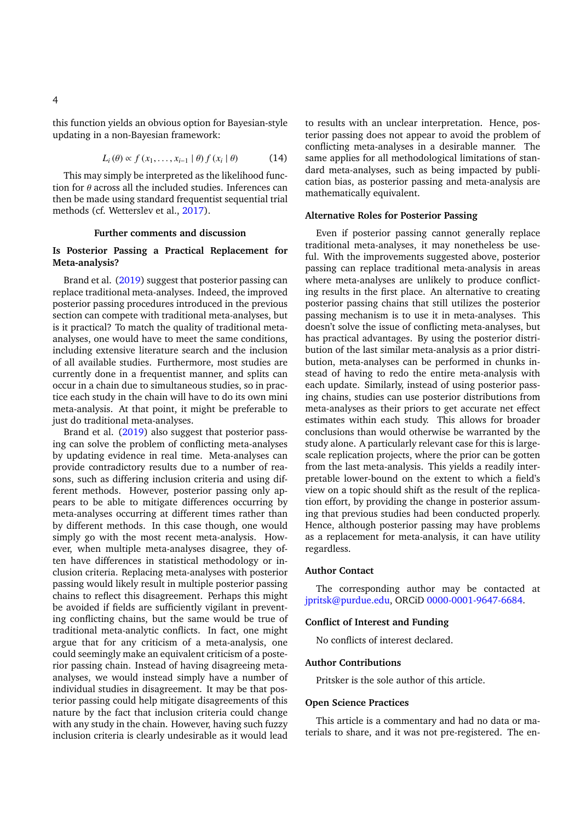this function yields an obvious option for Bayesian-style updating in a non-Bayesian framework:

$$
L_i(\theta) \propto f(x_1, \dots, x_{i-1} \mid \theta) f(x_i \mid \theta) \tag{14}
$$

This may simply be interpreted as the likelihood function for  $\theta$  across all the included studies. Inferences can then be made using standard frequentist sequential trial methods (cf. Wetterslev et al., [2017\)](#page-4-7).

## **Further comments and discussion**

# **Is Posterior Passing a Practical Replacement for Meta-analysis?**

Brand et al. [\(2019\)](#page-4-0) suggest that posterior passing can replace traditional meta-analyses. Indeed, the improved posterior passing procedures introduced in the previous section can compete with traditional meta-analyses, but is it practical? To match the quality of traditional metaanalyses, one would have to meet the same conditions, including extensive literature search and the inclusion of all available studies. Furthermore, most studies are currently done in a frequentist manner, and splits can occur in a chain due to simultaneous studies, so in practice each study in the chain will have to do its own mini meta-analysis. At that point, it might be preferable to just do traditional meta-analyses.

Brand et al. [\(2019\)](#page-4-0) also suggest that posterior passing can solve the problem of conflicting meta-analyses by updating evidence in real time. Meta-analyses can provide contradictory results due to a number of reasons, such as differing inclusion criteria and using different methods. However, posterior passing only appears to be able to mitigate differences occurring by meta-analyses occurring at different times rather than by different methods. In this case though, one would simply go with the most recent meta-analysis. However, when multiple meta-analyses disagree, they often have differences in statistical methodology or inclusion criteria. Replacing meta-analyses with posterior passing would likely result in multiple posterior passing chains to reflect this disagreement. Perhaps this might be avoided if fields are sufficiently vigilant in preventing conflicting chains, but the same would be true of traditional meta-analytic conflicts. In fact, one might argue that for any criticism of a meta-analysis, one could seemingly make an equivalent criticism of a posterior passing chain. Instead of having disagreeing metaanalyses, we would instead simply have a number of individual studies in disagreement. It may be that posterior passing could help mitigate disagreements of this nature by the fact that inclusion criteria could change with any study in the chain. However, having such fuzzy inclusion criteria is clearly undesirable as it would lead

to results with an unclear interpretation. Hence, posterior passing does not appear to avoid the problem of conflicting meta-analyses in a desirable manner. The same applies for all methodological limitations of standard meta-analyses, such as being impacted by publication bias, as posterior passing and meta-analysis are mathematically equivalent.

#### **Alternative Roles for Posterior Passing**

Even if posterior passing cannot generally replace traditional meta-analyses, it may nonetheless be useful. With the improvements suggested above, posterior passing can replace traditional meta-analysis in areas where meta-analyses are unlikely to produce conflicting results in the first place. An alternative to creating posterior passing chains that still utilizes the posterior passing mechanism is to use it in meta-analyses. This doesn't solve the issue of conflicting meta-analyses, but has practical advantages. By using the posterior distribution of the last similar meta-analysis as a prior distribution, meta-analyses can be performed in chunks instead of having to redo the entire meta-analysis with each update. Similarly, instead of using posterior passing chains, studies can use posterior distributions from meta-analyses as their priors to get accurate net effect estimates within each study. This allows for broader conclusions than would otherwise be warranted by the study alone. A particularly relevant case for this is largescale replication projects, where the prior can be gotten from the last meta-analysis. This yields a readily interpretable lower-bound on the extent to which a field's view on a topic should shift as the result of the replication effort, by providing the change in posterior assuming that previous studies had been conducted properly. Hence, although posterior passing may have problems as a replacement for meta-analysis, it can have utility regardless.

## **Author Contact**

The corresponding author may be contacted at [jpritsk@purdue.edu,](mailto:jpritsk@purdue.edu) ORCiD [0000-0001-9647-6684.](https://orcid.org/0000-0001-9647-6684)

#### **Conflict of Interest and Funding**

No conflicts of interest declared.

#### **Author Contributions**

Pritsker is the sole author of this article.

# **Open Science Practices**

This article is a commentary and had no data or materials to share, and it was not pre-registered. The en